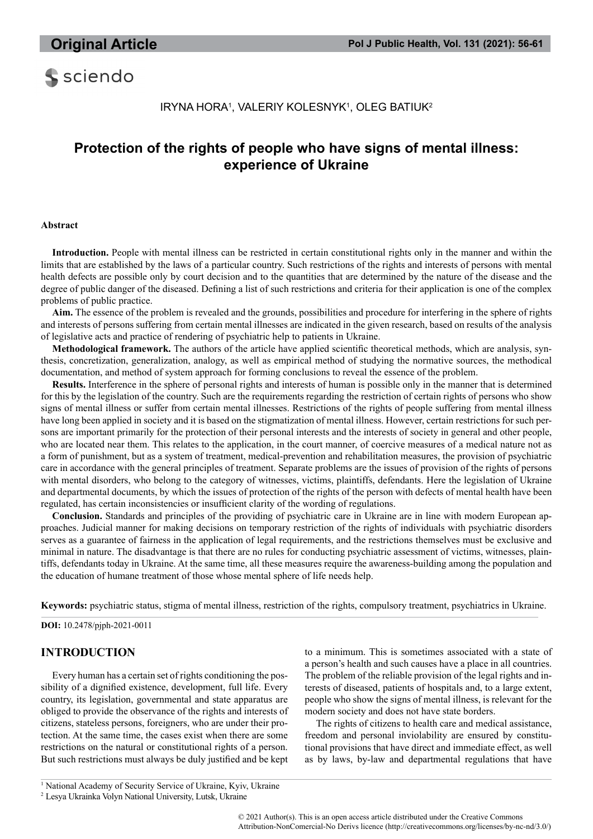**S** sciendo

#### IRYNA HORA<sup>1</sup>, VALERIY KOLESNYK<sup>1</sup>, OLEG BATIUK<sup>2</sup>

# **Protection of the rights of people who have signs of mental illness: experience of Ukraine**

#### **Abstract**

**Introduction.** People with mental illness can be restricted in certain constitutional rights only in the manner and within the limits that are established by the laws of a particular country. Such restrictions of the rights and interests of persons with mental health defects are possible only by court decision and to the quantities that are determined by the nature of the disease and the degree of public danger of the diseased. Defining a list of such restrictions and criteria for their application is one of the complex problems of public practice.

**Aim.** The essence of the problem is revealed and the grounds, possibilities and procedure for interfering in the sphere of rights and interests of persons suffering from certain mental illnesses are indicated in the given research, based on results of the analysis of legislative acts and practice of rendering of psychiatric help to patients in Ukraine.

**Methodological framework.** The authors of the article have applied scientific theoretical methods, which are analysis, synthesis, concretization, generalization, analogy, as well as empirical method of studying the normative sources, the methodical documentation, and method of system approach for forming conclusions to reveal the essence of the problem.

**Results.** Interference in the sphere of personal rights and interests of human is possible only in the manner that is determined for this by the legislation of the country. Such are the requirements regarding the restriction of certain rights of persons who show signs of mental illness or suffer from certain mental illnesses. Restrictions of the rights of people suffering from mental illness have long been applied in society and it is based on the stigmatization of mental illness. However, certain restrictions for such persons are important primarily for the protection of their personal interests and the interests of society in general and other people, who are located near them. This relates to the application, in the court manner, of coercive measures of a medical nature not as a form of punishment, but as a system of treatment, medical-prevention and rehabilitation measures, the provision of psychiatric care in accordance with the general principles of treatment. Separate problems are the issues of provision of the rights of persons with mental disorders, who belong to the category of witnesses, victims, plaintiffs, defendants. Here the legislation of Ukraine and departmental documents, by which the issues of protection of the rights of the person with defects of mental health have been regulated, has certain inconsistencies or insufficient clarity of the wording of regulations.

**Conclusion.** Standards and principles of the providing of psychiatric care in Ukraine are in line with modern European approaches. Judicial manner for making decisions on temporary restriction of the rights of individuals with psychiatric disorders serves as a guarantee of fairness in the application of legal requirements, and the restrictions themselves must be exclusive and minimal in nature. The disadvantage is that there are no rules for conducting psychiatric assessment of victims, witnesses, plaintiffs, defendants today in Ukraine. At the same time, all these measures require the awareness-building among the population and the education of humane treatment of those whose mental sphere of life needs help.

**Keywords:** psychiatric status, stigma of mental illness, restriction of the rights, compulsory treatment, psychiatrics in Ukraine.

**DOI:** 10.2478/pjph-2021-0011

## **Introduction**

Every human has a certain set of rights conditioning the possibility of a dignified existence, development, full life. Every country, its legislation, governmental and state apparatus are obliged to provide the observance of the rights and interests of citizens, stateless persons, foreigners, who are under their protection. At the same time, the cases exist when there are some restrictions on the natural or constitutional rights of a person. But such restrictions must always be duly justified and be kept

to a minimum. This is sometimes associated with a state of a person's health and such causes have a place in all countries. The problem of the reliable provision of the legal rights and interests of diseased, patients of hospitals and, to a large extent, people who show the signs of mental illness, is relevant for the modern society and does not have state borders.

The rights of citizens to health care and medical assistance, freedom and personal inviolability are ensured by constitutional provisions that have direct and immediate effect, as well as by laws, by-law and departmental regulations that have

© 2021 Author(s). This is an open access article distributed under the Creative Commons Attribution-NonComercial-No Derivs licence (http://creativecommons.org/licenses/by-nc-nd/3.0/)

<sup>&</sup>lt;sup>1</sup> National Academy of Security Service of Ukraine, Kyiv, Ukraine

<sup>2</sup> Lesya Ukrainka Volyn National University, Lutsk, Ukraine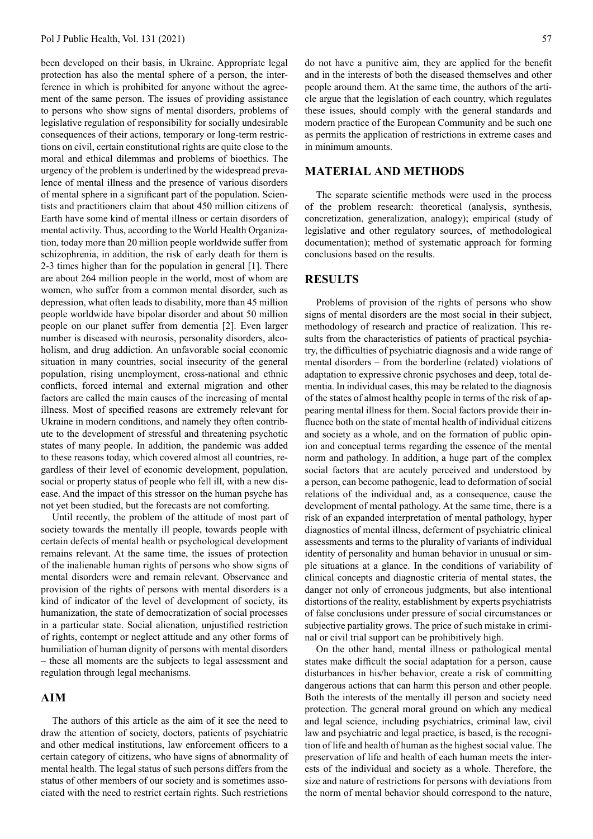been developed on their basis, in Ukraine. Appropriate legal protection has also the mental sphere of a person, the interference in which is prohibited for anyone without the agreement of the same person. The issues of providing assistance to persons who show signs of mental disorders, problems of legislative regulation of responsibility for socially undesirable consequences of their actions, temporary or long-term restrictions on civil, certain constitutional rights are quite close to the moral and ethical dilemmas and problems of bioethics. The urgency of the problem is underlined by the widespread prevalence of mental illness and the presence of various disorders of mental sphere in a significant part of the population. Scientists and practitioners claim that about 450 million citizens of Earth have some kind of mental illness or certain disorders of mental activity. Thus, according to the World Health Organization, today more than 20 million people worldwide suffer from schizophrenia, in addition, the risk of early death for them is 2-3 times higher than for the population in general [1]. There are about 264 million people in the world, most of whom are women, who suffer from a common mental disorder, such as depression, what often leads to disability, more than 45 million people worldwide have bipolar disorder and about 50 million people on our planet suffer from dementia [2]. Even larger number is diseased with neurosis, personality disorders, alcoholism, and drug addiction. An unfavorable social economic situation in many countries, social insecurity of the general population, rising unemployment, cross-national and ethnic conflicts, forced internal and external migration and other factors are called the main causes of the increasing of mental illness. Most of specified reasons are extremely relevant for Ukraine in modern conditions, and namely they often contribute to the development of stressful and threatening psychotic states of many people. In addition, the pandemic was added to these reasons today, which covered almost all countries, regardless of their level of economic development, population, social or property status of people who fell ill, with a new disease. And the impact of this stressor on the human psyche has not yet been studied, but the forecasts are not comforting.

Until recently, the problem of the attitude of most part of society towards the mentally ill people, towards people with certain defects of mental health or psychological development remains relevant. At the same time, the issues of protection of the inalienable human rights of persons who show signs of mental disorders were and remain relevant. Observance and provision of the rights of persons with mental disorders is a kind of indicator of the level of development of society, its humanization, the state of democratization of social processes in a particular state. Social alienation, unjustified restriction of rights, contempt or neglect attitude and any other forms of humiliation of human dignity of persons with mental disorders – these all moments are the subjects to legal assessment and regulation through legal mechanisms.

#### **AIM**

The authors of this article as the aim of it see the need to draw the attention of society, doctors, patients of psychiatric and other medical institutions, law enforcement officers to a certain category of citizens, who have signs of abnormality of mental health. The legal status of such persons differs from the status of other members of our society and is sometimes associated with the need to restrict certain rights. Such restrictions do not have a punitive aim, they are applied for the benefit and in the interests of both the diseased themselves and other people around them. At the same time, the authors of the article argue that the legislation of each country, which regulates these issues, should comply with the general standards and modern practice of the European Community and be such one as permits the application of restrictions in extreme cases and in minimum amounts.

## **MATERIAL AND METHODS**

The separate scientific methods were used in the process of the problem research: theoretical (analysis, synthesis, concretization, generalization, analogy); empirical (study of legislative and other regulatory sources, of methodological documentation); method of systematic approach for forming conclusions based on the results.

#### **RESULTS**

Problems of provision of the rights of persons who show signs of mental disorders are the most social in their subject, methodology of research and practice of realization. This results from the characteristics of patients of practical psychiatry, the difficulties of psychiatric diagnosis and a wide range of mental disorders – from the borderline (related) violations of adaptation to expressive chronic psychoses and deep, total dementia. In individual cases, this may be related to the diagnosis of the states of almost healthy people in terms of the risk of appearing mental illness for them. Social factors provide their influence both on the state of mental health of individual citizens and society as a whole, and on the formation of public opinion and conceptual terms regarding the essence of the mental norm and pathology. In addition, a huge part of the complex social factors that are acutely perceived and understood by a person, can become pathogenic, lead to deformation of social relations of the individual and, as a consequence, cause the development of mental pathology. At the same time, there is a risk of an expanded interpretation of mental pathology, hyper diagnostics of mental illness, deferment of psychiatric clinical assessments and terms to the plurality of variants of individual identity of personality and human behavior in unusual or simple situations at a glance. In the conditions of variability of clinical concepts and diagnostic criteria of mental states, the danger not only of erroneous judgments, but also intentional distortions of the reality, establishment by experts psychiatrists of false conclusions under pressure of social circumstances or subjective partiality grows. The price of such mistake in criminal or civil trial support can be prohibitively high.

On the other hand, mental illness or pathological mental states make difficult the social adaptation for a person, cause disturbances in his/her behavior, create a risk of committing dangerous actions that can harm this person and other people. Both the interests of the mentally ill person and society need protection. The general moral ground on which any medical and legal science, including psychiatrics, criminal law, civil law and psychiatric and legal practice, is based, is the recognition of life and health of human as the highest social value. The preservation of life and health of each human meets the interests of the individual and society as a whole. Therefore, the size and nature of restrictions for persons with deviations from the norm of mental behavior should correspond to the nature,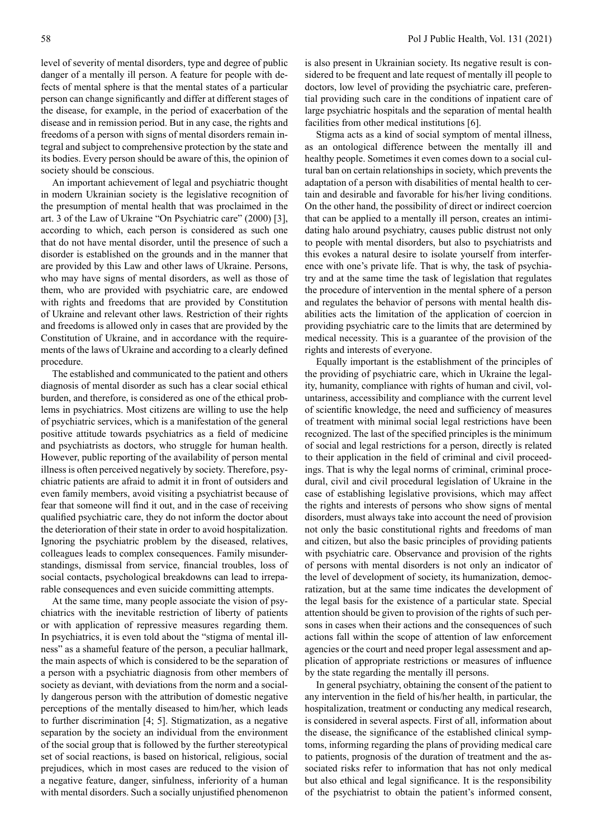level of severity of mental disorders, type and degree of public danger of a mentally ill person. A feature for people with defects of mental sphere is that the mental states of a particular person can change significantly and differ at different stages of the disease, for example, in the period of exacerbation of the disease and in remission period. But in any case, the rights and freedoms of a person with signs of mental disorders remain integral and subject to comprehensive protection by the state and its bodies. Every person should be aware of this, the opinion of society should be conscious.

An important achievement of legal and psychiatric thought in modern Ukrainian society is the legislative recognition of the presumption of mental health that was proclaimed in the art. 3 of the Law of Ukraine "On Psychiatric care" (2000) [3], according to which, each person is considered as such one that do not have mental disorder, until the presence of such a disorder is established on the grounds and in the manner that are provided by this Law and other laws of Ukraine. Persons, who may have signs of mental disorders, as well as those of them, who are provided with psychiatric care, are endowed with rights and freedoms that are provided by Constitution of Ukraine and relevant other laws. Restriction of their rights and freedoms is allowed only in cases that are provided by the Constitution of Ukraine, and in accordance with the requirements of the laws of Ukraine and according to a clearly defined procedure.

The established and communicated to the patient and others diagnosis of mental disorder as such has a clear social ethical burden, and therefore, is considered as one of the ethical problems in psychiatrics. Most citizens are willing to use the help of psychiatric services, which is a manifestation of the general positive attitude towards psychiatrics as a field of medicine and psychiatrists as doctors, who struggle for human health. However, public reporting of the availability of person mental illness is often perceived negatively by society. Therefore, psychiatric patients are afraid to admit it in front of outsiders and even family members, avoid visiting a psychiatrist because of fear that someone will find it out, and in the case of receiving qualified psychiatric care, they do not inform the doctor about the deterioration of their state in order to avoid hospitalization. Ignoring the psychiatric problem by the diseased, relatives, colleagues leads to complex consequences. Family misunderstandings, dismissal from service, financial troubles, loss of social contacts, psychological breakdowns can lead to irreparable consequences and even suicide committing attempts.

At the same time, many people associate the vision of psychiatrics with the inevitable restriction of liberty of patients or with application of repressive measures regarding them. In psychiatrics, it is even told about the "stigma of mental illness" as a shameful feature of the person, a peculiar hallmark, the main aspects of which is considered to be the separation of a person with a psychiatric diagnosis from other members of society as deviant, with deviations from the norm and a socially dangerous person with the attribution of domestic negative perceptions of the mentally diseased to him/her, which leads to further discrimination [4; 5]. Stigmatization, as a negative separation by the society an individual from the environment of the social group that is followed by the further stereotypical set of social reactions, is based on historical, religious, social prejudices, which in most cases are reduced to the vision of a negative feature, danger, sinfulness, inferiority of a human with mental disorders. Such a socially unjustified phenomenon

is also present in Ukrainian society. Its negative result is considered to be frequent and late request of mentally ill people to doctors, low level of providing the psychiatric care, preferential providing such care in the conditions of inpatient care of large psychiatric hospitals and the separation of mental health facilities from other medical institutions [6].

Stigma acts as a kind of social symptom of mental illness, as an ontological difference between the mentally ill and healthy people. Sometimes it even comes down to a social cultural ban on certain relationships in society, which prevents the adaptation of a person with disabilities of mental health to certain and desirable and favorable for his/her living conditions. On the other hand, the possibility of direct or indirect coercion that can be applied to a mentally ill person, creates an intimidating halo around psychiatry, causes public distrust not only to people with mental disorders, but also to psychiatrists and this evokes a natural desire to isolate yourself from interference with one's private life. That is why, the task of psychiatry and at the same time the task of legislation that regulates the procedure of intervention in the mental sphere of a person and regulates the behavior of persons with mental health disabilities acts the limitation of the application of coercion in providing psychiatric care to the limits that are determined by medical necessity. This is a guarantee of the provision of the rights and interests of everyone.

Equally important is the establishment of the principles of the providing of psychiatric care, which in Ukraine the legality, humanity, compliance with rights of human and civil, voluntariness, accessibility and compliance with the current level of scientific knowledge, the need and sufficiency of measures of treatment with minimal social legal restrictions have been recognized. The last of the specified principles is the minimum of social and legal restrictions for a person, directly is related to their application in the field of criminal and civil proceedings. That is why the legal norms of criminal, criminal procedural, civil and civil procedural legislation of Ukraine in the case of establishing legislative provisions, which may affect the rights and interests of persons who show signs of mental disorders, must always take into account the need of provision not only the basic constitutional rights and freedoms of man and citizen, but also the basic principles of providing patients with psychiatric care. Observance and provision of the rights of persons with mental disorders is not only an indicator of the level of development of society, its humanization, democratization, but at the same time indicates the development of the legal basis for the existence of a particular state. Special attention should be given to provision of the rights of such persons in cases when their actions and the consequences of such actions fall within the scope of attention of law enforcement agencies or the court and need proper legal assessment and application of appropriate restrictions or measures of influence by the state regarding the mentally ill persons.

In general psychiatry, obtaining the consent of the patient to any intervention in the field of his/her health, in particular, the hospitalization, treatment or conducting any medical research, is considered in several aspects. First of all, information about the disease, the significance of the established clinical symptoms, informing regarding the plans of providing medical care to patients, prognosis of the duration of treatment and the associated risks refer to information that has not only medical but also ethical and legal significance. It is the responsibility of the psychiatrist to obtain the patient's informed consent,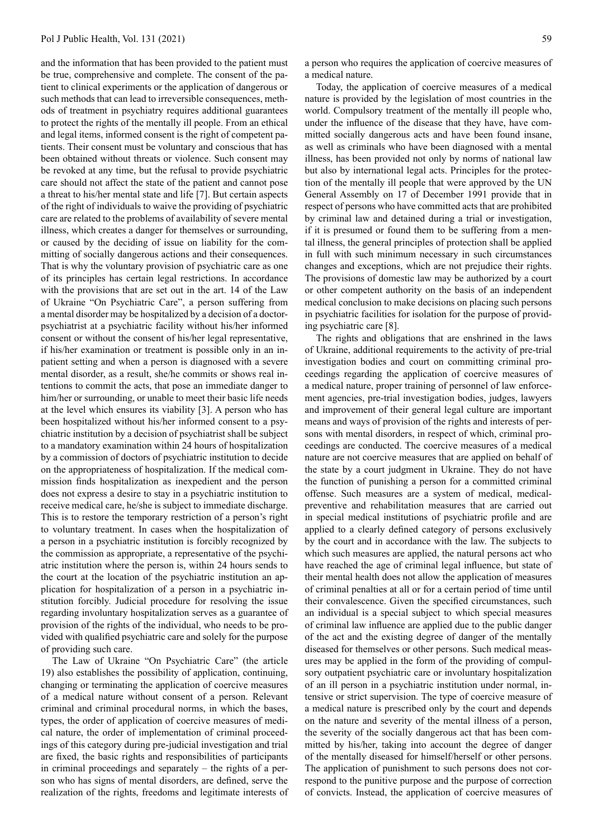and the information that has been provided to the patient must be true, comprehensive and complete. The consent of the patient to clinical experiments or the application of dangerous or such methods that can lead to irreversible consequences, methods of treatment in psychiatry requires additional guarantees to protect the rights of the mentally ill people. From an ethical and legal items, informed consent is the right of competent patients. Their consent must be voluntary and conscious that has been obtained without threats or violence. Such consent may be revoked at any time, but the refusal to provide psychiatric care should not affect the state of the patient and cannot pose a threat to his/her mental state and life [7]. But certain aspects of the right of individuals to waive the providing of psychiatric care are related to the problems of availability of severe mental illness, which creates a danger for themselves or surrounding, or caused by the deciding of issue on liability for the committing of socially dangerous actions and their consequences. That is why the voluntary provision of psychiatric care as one of its principles has certain legal restrictions. In accordance with the provisions that are set out in the art. 14 of the Law of Ukraine "On Psychiatric Care", a person suffering from a mental disorder may be hospitalized by a decision of a doctorpsychiatrist at a psychiatric facility without his/her informed consent or without the consent of his/her legal representative, if his/her examination or treatment is possible only in an inpatient setting and when a person is diagnosed with a severe mental disorder, as a result, she/he commits or shows real intentions to commit the acts, that pose an immediate danger to him/her or surrounding, or unable to meet their basic life needs at the level which ensures its viability [3]. A person who has been hospitalized without his/her informed consent to a psychiatric institution by a decision of psychiatrist shall be subject to a mandatory examination within 24 hours of hospitalization by a commission of doctors of psychiatric institution to decide on the appropriateness of hospitalization. If the medical commission finds hospitalization as inexpedient and the person does not express a desire to stay in a psychiatric institution to receive medical care, he/she is subject to immediate discharge. This is to restore the temporary restriction of a person's right to voluntary treatment. In cases when the hospitalization of a person in a psychiatric institution is forcibly recognized by the commission as appropriate, a representative of the psychiatric institution where the person is, within 24 hours sends to the court at the location of the psychiatric institution an application for hospitalization of a person in a psychiatric institution forcibly. Judicial procedure for resolving the issue regarding involuntary hospitalization serves as a guarantee of provision of the rights of the individual, who needs to be provided with qualified psychiatric care and solely for the purpose of providing such care.

The Law of Ukraine "On Psychiatric Care" (the article 19) also establishes the possibility of application, continuing, changing or terminating the application of coercive measures of a medical nature without consent of a person. Relevant criminal and criminal procedural norms, in which the bases, types, the order of application of coercive measures of medical nature, the order of implementation of criminal proceedings of this category during pre-judicial investigation and trial are fixed, the basic rights and responsibilities of participants in criminal proceedings and separately – the rights of a person who has signs of mental disorders, are defined, serve the realization of the rights, freedoms and legitimate interests of a person who requires the application of coercive measures of a medical nature.

Today, the application of coercive measures of a medical nature is provided by the legislation of most countries in the world. Compulsory treatment of the mentally ill people who, under the influence of the disease that they have, have committed socially dangerous acts and have been found insane, as well as criminals who have been diagnosed with a mental illness, has been provided not only by norms of national law but also by international legal acts. Principles for the protection of the mentally ill people that were approved by the UN General Assembly on 17 of December 1991 provide that in respect of persons who have committed acts that are prohibited by criminal law and detained during a trial or investigation, if it is presumed or found them to be suffering from a mental illness, the general principles of protection shall be applied in full with such minimum necessary in such circumstances changes and exceptions, which are not prejudice their rights. The provisions of domestic law may be authorized by a court or other competent authority on the basis of an independent medical conclusion to make decisions on placing such persons in psychiatric facilities for isolation for the purpose of providing psychiatric care [8].

The rights and obligations that are enshrined in the laws of Ukraine, additional requirements to the activity of pre-trial investigation bodies and court on committing criminal proceedings regarding the application of coercive measures of a medical nature, proper training of personnel of law enforcement agencies, pre-trial investigation bodies, judges, lawyers and improvement of their general legal culture are important means and ways of provision of the rights and interests of persons with mental disorders, in respect of which, criminal proceedings are conducted. The coercive measures of a medical nature are not coercive measures that are applied on behalf of the state by a court judgment in Ukraine. They do not have the function of punishing a person for a committed criminal offense. Such measures are a system of medical, medicalpreventive and rehabilitation measures that are carried out in special medical institutions of psychiatric profile and are applied to a clearly defined category of persons exclusively by the court and in accordance with the law. The subjects to which such measures are applied, the natural persons act who have reached the age of criminal legal influence, but state of their mental health does not allow the application of measures of criminal penalties at all or for a certain period of time until their convalescence. Given the specified circumstances, such an individual is a special subject to which special measures of criminal law influence are applied due to the public danger of the act and the existing degree of danger of the mentally diseased for themselves or other persons. Such medical measures may be applied in the form of the providing of compulsory outpatient psychiatric care or involuntary hospitalization of an ill person in a psychiatric institution under normal, intensive or strict supervision. The type of coercive measure of a medical nature is prescribed only by the court and depends on the nature and severity of the mental illness of a person, the severity of the socially dangerous act that has been committed by his/her, taking into account the degree of danger of the mentally diseased for himself/herself or other persons. The application of punishment to such persons does not correspond to the punitive purpose and the purpose of correction of convicts. Instead, the application of coercive measures of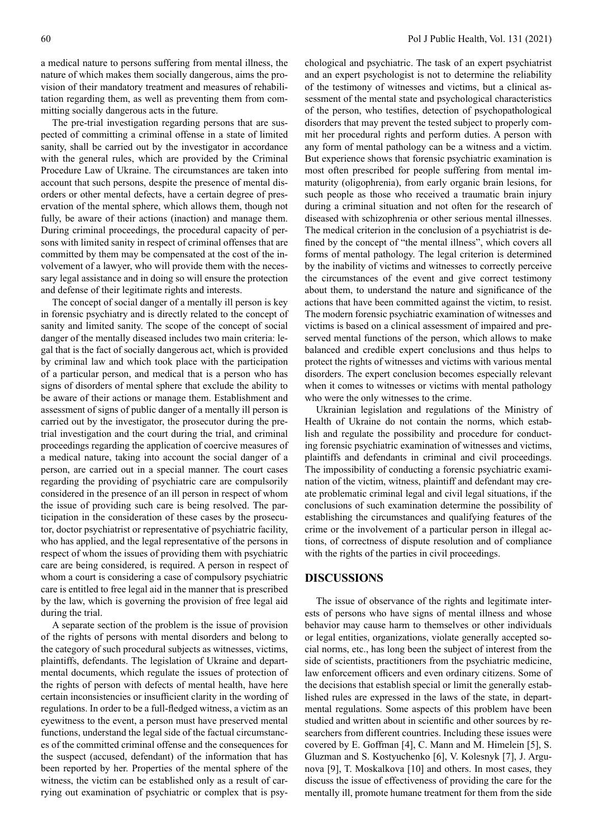a medical nature to persons suffering from mental illness, the nature of which makes them socially dangerous, aims the provision of their mandatory treatment and measures of rehabilitation regarding them, as well as preventing them from committing socially dangerous acts in the future.

The pre-trial investigation regarding persons that are suspected of committing a criminal offense in a state of limited sanity, shall be carried out by the investigator in accordance with the general rules, which are provided by the Criminal Procedure Law of Ukraine. The circumstances are taken into account that such persons, despite the presence of mental disorders or other mental defects, have a certain degree of preservation of the mental sphere, which allows them, though not fully, be aware of their actions (inaction) and manage them. During criminal proceedings, the procedural capacity of persons with limited sanity in respect of criminal offenses that are committed by them may be compensated at the cost of the involvement of a lawyer, who will provide them with the necessary legal assistance and in doing so will ensure the protection and defense of their legitimate rights and interests.

The concept of social danger of a mentally ill person is key in forensic psychiatry and is directly related to the concept of sanity and limited sanity. The scope of the concept of social danger of the mentally diseased includes two main criteria: legal that is the fact of socially dangerous act, which is provided by criminal law and which took place with the participation of a particular person, and medical that is a person who has signs of disorders of mental sphere that exclude the ability to be aware of their actions or manage them. Establishment and assessment of signs of public danger of a mentally ill person is carried out by the investigator, the prosecutor during the pretrial investigation and the court during the trial, and criminal proceedings regarding the application of coercive measures of a medical nature, taking into account the social danger of a person, are carried out in a special manner. The court cases regarding the providing of psychiatric care are compulsorily considered in the presence of an ill person in respect of whom the issue of providing such care is being resolved. The participation in the consideration of these cases by the prosecutor, doctor psychiatrist or representative of psychiatric facility, who has applied, and the legal representative of the persons in respect of whom the issues of providing them with psychiatric care are being considered, is required. A person in respect of whom a court is considering a case of compulsory psychiatric care is entitled to free legal aid in the manner that is prescribed by the law, which is governing the provision of free legal aid during the trial.

A separate section of the problem is the issue of provision of the rights of persons with mental disorders and belong to the category of such procedural subjects as witnesses, victims, plaintiffs, defendants. The legislation of Ukraine and departmental documents, which regulate the issues of protection of the rights of person with defects of mental health, have here certain inconsistencies or insufficient clarity in the wording of regulations. In order to be a full-fledged witness, a victim as an eyewitness to the event, a person must have preserved mental functions, understand the legal side of the factual circumstances of the committed criminal offense and the consequences for the suspect (accused, defendant) of the information that has been reported by her. Properties of the mental sphere of the witness, the victim can be established only as a result of carrying out examination of psychiatric or complex that is psychological and psychiatric. The task of an expert psychiatrist and an expert psychologist is not to determine the reliability of the testimony of witnesses and victims, but a clinical assessment of the mental state and psychological characteristics of the person, who testifies, detection of psychopathological disorders that may prevent the tested subject to properly commit her procedural rights and perform duties. A person with any form of mental pathology can be a witness and a victim. But experience shows that forensic psychiatric examination is most often prescribed for people suffering from mental immaturity (oligophrenia), from early organic brain lesions, for such people as those who received a traumatic brain injury during a criminal situation and not often for the research of diseased with schizophrenia or other serious mental illnesses. The medical criterion in the conclusion of a psychiatrist is defined by the concept of "the mental illness", which covers all forms of mental pathology. The legal criterion is determined by the inability of victims and witnesses to correctly perceive the circumstances of the event and give correct testimony about them, to understand the nature and significance of the actions that have been committed against the victim, to resist. The modern forensic psychiatric examination of witnesses and victims is based on a clinical assessment of impaired and preserved mental functions of the person, which allows to make balanced and credible expert conclusions and thus helps to protect the rights of witnesses and victims with various mental disorders. The expert conclusion becomes especially relevant when it comes to witnesses or victims with mental pathology who were the only witnesses to the crime.

Ukrainian legislation and regulations of the Ministry of Health of Ukraine do not contain the norms, which establish and regulate the possibility and procedure for conducting forensic psychiatric examination of witnesses and victims, plaintiffs and defendants in criminal and civil proceedings. The impossibility of conducting a forensic psychiatric examination of the victim, witness, plaintiff and defendant may create problematic criminal legal and civil legal situations, if the conclusions of such examination determine the possibility of establishing the circumstances and qualifying features of the crime or the involvement of a particular person in illegal actions, of correctness of dispute resolution and of compliance with the rights of the parties in civil proceedings.

#### **DISCUSSIONS**

The issue of observance of the rights and legitimate interests of persons who have signs of mental illness and whose behavior may cause harm to themselves or other individuals or legal entities, organizations, violate generally accepted social norms, etc., has long been the subject of interest from the side of scientists, practitioners from the psychiatric medicine, law enforcement officers and even ordinary citizens. Some of the decisions that establish special or limit the generally established rules are expressed in the laws of the state, in departmental regulations. Some aspects of this problem have been studied and written about in scientific and other sources by researchers from different countries. Including these issues were covered by E. Goffman [4], C. Mann and M. Himelein [5], S. Gluzman and S. Kostyuchenko [6], V. Kolesnyk [7], J. Argunova [9], T. Moskalkova [10] and others. In most cases, they discuss the issue of effectiveness of providing the care for the mentally ill, promote humane treatment for them from the side